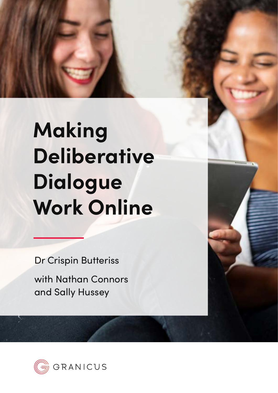# **Making Deliberative Dialogue Work Online**

Dr Crispin Butteriss

with Nathan Connors and Sally Hussey

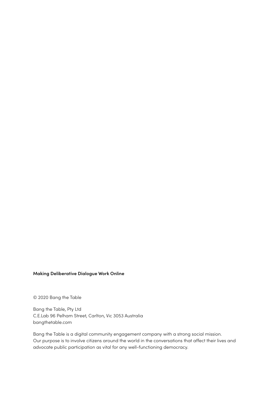#### **Making Deliberative Dialogue Work Online**

© 2020 Bang the Table

Bang the Table, Pty Ltd C.E.Lab 96 Pelham Street, Carlton, Vic 3053 Australia bangthetable.com

Bang the Table is a digital community engagement company with a strong social mission. Our purpose is to involve citizens around the world in the conversations that affect their lives and advocate public participation as vital for any well-functioning democracy.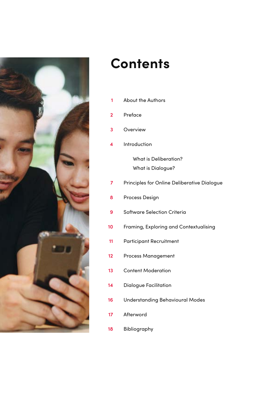

## **Contents**

- [Preface](#page-4-0) **2**
- [Overview](#page-5-0) **3**
- [Introduction](#page-6-0) **4**

[What is Deliberation?](#page-6-0) [What is Dialogue?](#page-7-0)

- [Principles for Online Deliberative Dialogue](#page-9-0) **7**
- [Process Design](#page-10-0) **8**
- [Software Selection Criteria](#page-11-0) **9**
- [Framing, Exploring and Contextualising](#page-12-0) **10**
- [Participant Recruitment](#page-13-0) **11**
- [Process Management](#page-14-0) **12**
- [Content Moderation](#page-15-0) **13**
- [Dialogue Facilitation](#page-16-0) **14**
- [Understanding Behavioural Modes](#page-18-0) **16**
- [Afterword](#page-19-0) **17**
- [Bibliography](#page-20-0) **18**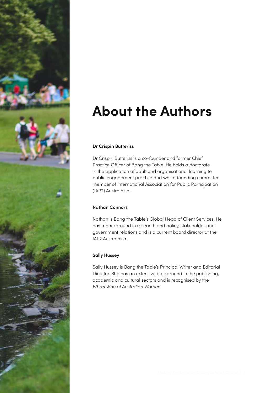<span id="page-3-0"></span>

# **About the Authors**

### **Dr Crispin Butteriss**

Dr Crispin Butteriss is a co-founder and former Chief Practice Officer of Bang the Table. He holds a doctorate in the application of adult and organisational learning to public engagement practice and was a founding committee member of International Association for Public Participation (IAP2) Australasia.

### **Nathan Connors**

Nathan is Bang the Table's Global Head of Client Services. He has a background in research and policy, stakeholder and government relations and is a current board director at the IAP2 Australasia.

### **Sally Hussey**

Sally Hussey is Bang the Table's Principal Writer and Editorial Director. She has an extensive background in the publishing, academic and cultural sectors and is recognised by the *Who's Who of Australian Women*.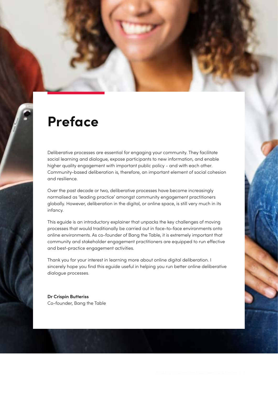### <span id="page-4-0"></span>**Preface**

Deliberative processes are essential for engaging your community. They facilitate social learning and dialogue, expose participants to new information, and enable higher quality engagement with important public policy - and with each other. Community-based deliberation is, therefore, an important element of social cohesion and resilience.

Over the past decade or two, deliberative processes have become increasingly normalised as 'leading practice' amongst community engagement practitioners globally. However, deliberation in the digital, or online space, is still very much in its infancy.

This eguide is an introductory explainer that unpacks the key challenges of moving processes that would traditionally be carried out in face-to-face environments onto online environments. As co-founder of Bang the Table, it is extremely important that community and stakeholder engagement practitioners are equipped to run effective and best-practice engagement activities.

Thank you for your interest in learning more about online digital deliberation. I sincerely hope you find this eguide useful in helping you run better online deliberative dialogue processes.

**Dr Crispin Butteriss** Co-founder, Bang the Table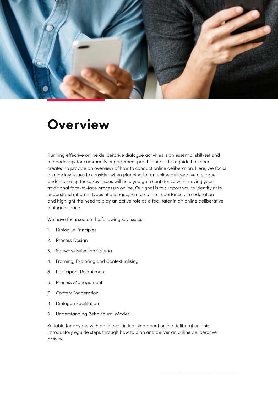<span id="page-5-0"></span>

### **Overview**

Running effective online deliberative dialogue activities is an essential skill-set and methodology for community engagement practitioners. This eguide has been created to provide an overview of how to conduct online deliberation. Here, we focus on nine key issues to consider when planning for an online deliberative dialogue. Understanding these key issues will help you gain confidence with moving your traditional face-to-face processes online. Our goal is to support you to identify risks, understand different types of dialogue, reinforce the importance of moderation and highlight the need to play an active role as a facilitator in an online deliberative dialogue space.

We have focussed on the following key issues:

- 1. Dialogue Principles
- 2. Process Design
- 3. Software Selection Criteria
- 4. Framing, Exploring and Contextualising
- 5. Participant Recruitment
- 6. Process Management
- 7. Content Moderation
- 8. Dialogue Facilitation
- 9. Understanding Behavioural Modes

Suitable for anyone with an interest in learning about online deliberation, this introductory eguide steps through how to plan and deliver an online deliberative activity.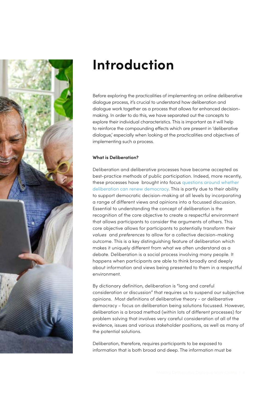<span id="page-6-0"></span>

# **Introduction**

Before exploring the practicalities of implementing an online deliberative dialogue process, it's crucial to understand how deliberation and dialogue work together as a process that allows for enhanced decisionmaking. In order to do this, we have separated out the concepts to explore their individual characteristics. This is important as it will help to reinforce the compounding effects which are present in 'deliberative dialogue,' especially when looking at the practicalities and objectives of implementing such a process.

### **What is Deliberation?**

Deliberation and deliberative processes have become accepted as best-practice methods of public participation. Indeed, more recently, these processes have brought into focus [questions around whether](https://www.bangthetable.com/blog/can-deliberation-renew-democracy-in-a-digital-world/)  [deliberation can renew democracy](https://www.bangthetable.com/blog/can-deliberation-renew-democracy-in-a-digital-world/). This is partly due to their ability to support democratic decision-making at all levels by incorporating a range of different views and opinions into a focussed discussion. Essential to understanding the concept of deliberation is the recognition of the core objective to create a respectful environment that allows participants to consider the arguments of others. This core objective allows for participants to potentially transform their *values* and *preferences* to allow for a collective decision-making outcome. This is a key distinguishing feature of deliberation which makes it uniquely different from what we often understand as a debate. Deliberation is a social process involving many people. It happens when participants are able to think broadly and deeply about information and views being presented to them in a respectful environment.

By dictionary definition, deliberation is "long and careful consideration or discussion" that requires us to suspend our subjective opinions. Most definitions of deliberative theory - or deliberative democracy - focus on deliberation being solutions focussed. However, deliberation is a broad method (within lots of different processes) for problem solving that involves very careful consideration of all of the evidence, issues and various stakeholder positions, as well as many of the potential solutions.

Deliberation, therefore, requires participants to be exposed to information that is both broad and deep. The information must be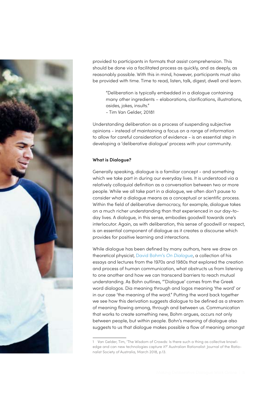<span id="page-7-0"></span>

provided to participants in formats that assist comprehension. This should be done via a facilitated process as quickly, and as deeply, as reasonably possible. With this in mind, however, participants must also be provided with time. Time to read, listen, talk, digest, dwell and learn.

"Deliberation is typically embedded in a dialogue containing many other ingredients – elaborations, clarifications, illustrations, asides, jokes, insults."

- Tim Van Gelder, 20181

Understanding deliberation as a process of suspending subjective opinions - instead of maintaining a focus on a range of information to allow for careful consideration of evidence - is an essential step in developing a 'deliberative dialogue' process with your community.

### **What is Dialogue?**

Generally speaking, dialogue is a familiar concept - and something which we take part in during our everyday lives. It is understood via a relatively colloquial definition as a conversation between two or more people. While we all take part in a dialogue, we often don't pause to consider what a dialogue means as a conceptual or scientific process. Within the field of deliberative democracy, for example, dialogue takes on a much richer understanding than that experienced in our day-today lives. A dialogue, in this sense, embodies goodwill towards one's interlocutor. Again, as with deliberation, this sense of goodwill or respect, is an essential component of dialogue as it creates a discourse which provides for positive learning and interactions.

While dialogue has been defined by many authors, here we draw on theoretical physicist, [David Bohm's](https://www.routledge.com/On-Dialogue/Bohm/p/book/9780415854702) *On Dialogue*, a collection of his essays and lectures from the 1970s and 1980s that explored the creation and process of human communication, what obstructs us from listening to one another and how we can transcend barriers to reach mutual understanding. As Bohn outlines, "'Dialogue' comes from the Greek word dialogos. Dia meaning through and logos meaning 'the word' or in our case 'the meaning of the word." Putting the word back together we see how this derivation suggests dialogue to be defined as a stream of meaning flowing among, through and between us. Communication that works to create something new, Bohm argues, occurs not only between people, but within people. Bohn's meaning of dialogue also suggests to us that dialogue makes possible a flow of meaning amongst

<sup>1</sup> Van Gelder, Tim, 'The Wisdom of Crowds: Is there such a thing as collective knowledge and can new technologies capture it?' Australian Rationalist: Journal of the Rationalist Society of Australia, March 2018, p.13.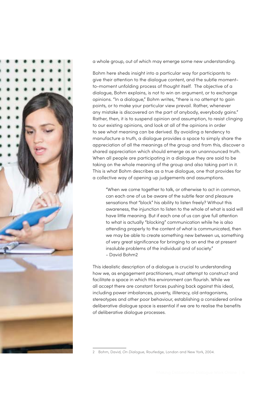

a whole group, out of which may emerge some new understanding.

Bohm here sheds insight into a particular way for participants to give their attention to the dialogue content, and the subtle momentto-moment unfolding process of thought itself. The objective of a dialogue, Bohm explains, is not to win an argument, or to exchange opinions. "In a dialogue," Bohm writes, "there is no attempt to gain points, or to make your particular view prevail. Rather, whenever any mistake is discovered on the part of anybody, everybody gains." Rather, then, it is to suspend opinion and assumption, to resist clinging to our existing opinions, and look at all of the opinions in order to see what meaning can be derived. By avoiding a tendency to manufacture a truth, a dialogue provides a space to simply share the appreciation of all the meanings of the group and from this, discover a shared appreciation which should emerge as an unannounced truth. When all people are participating in a dialogue they are said to be taking on the whole meaning of the group and also taking part in it. This is what Bohm describes as a true dialogue, one that provides for a collective way of opening up judgements and assumptions.

"When we come together to talk, or otherwise to act in common, can each one of us be aware of the subtle fear and pleasure sensations that "block" his ability to listen freely? Without this awareness, the injunction to listen to the whole of what is said will have little meaning. But if each one of us can give full attention to what is actually "blocking" communication while he is also attending properly to the content of what is communicated, then we may be able to create something new between us, something of very great significance for bringing to an end the at present insoluble problems of the individual and of society." - David Bohm2

This idealistic description of a dialogue is crucial to understanding how we, as engagement practitioners, must attempt to construct and facilitate a space in which this environment can flourish. While we all accept there are constant forces pushing back against this ideal, including power imbalances, poverty, illiteracy, old antagonisms, stereotypes and other poor behaviour, establishing a considered online deliberative dialogue space is essential if we are to realise the benefits of deliberative dialogue processes.

<sup>2</sup> Bohm, David, *On Dialogue*, Routledge, London and New York, 2004.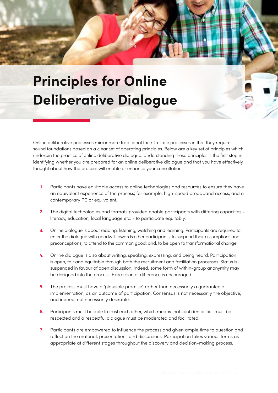<span id="page-9-0"></span>

Online deliberative processes mirror more traditional face-to-face processes in that they require sound foundations based on a clear set of operating principles. Below are a key set of principles which underpin the practice of online deliberative dialogue. Understanding these principles is the first step in identifying whether you are prepared for an online deliberative dialogue and that you have effectively thought about how the process will enable or enhance your consultation.

- **1.** Participants have equitable access to online technologies and resources to ensure they have an equivalent experience of the process; for example, high-speed broadband access, and a contemporary PC or equivalent.
- **2.** The digital technologies and formats provided enable participants with differing capacities literacy, education, local language etc. - to participate equitably.
- **3.** Online dialogue is about reading, listening, watching and learning. Participants are required to enter the dialogue with goodwill towards other participants; to suspend their assumptions and preconceptions; to attend to the common good; and, to be open to transformational change.
- **4.** Online dialogue is also about writing, speaking, expressing, and being heard. Participation is open, fair and equitable through both the recruitment and facilitation processes. Status is suspended in favour of open discussion. Indeed, some form of within-group anonymity may be designed into the process. Expression of difference is encouraged.
- **5.** The process must have a 'plausible promise', rather than necessarily a guarantee of implementation, as an outcome of participation. Consensus is not necessarily the objective, and indeed, not necessarily desirable.
- **6.** Participants must be able to trust each other, which means that confidentialities must be respected and a respectful dialogue must be moderated and facilitated.
- **7.** Participants are empowered to influence the process and given ample time to question and reflect on the material, presentations and discussions. Participation takes various forms as appropriate at different stages throughout the discovery and decision-making process.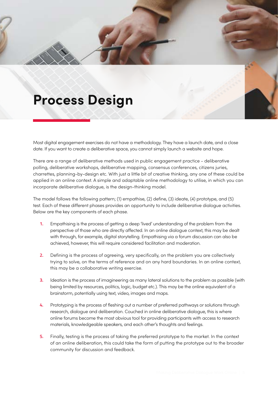### <span id="page-10-0"></span>**Process Design**

Most digital engagement exercises do not have a methodology. They have a launch date, and a close date. If you want to create a deliberative space, you cannot simply launch a website and hope.

There are a range of deliberative methods used in public engagement practice - deliberative polling, deliberative workshops, deliberative mapping, consensus conferences, citizens juries, charrettes, planning-by-design etc. With just a little bit of creative thinking, any one of these could be applied in an online context. A simple and adaptable online methodology to utilise, in which you can incorporate deliberative dialogue, is the design-thinking model.

The model follows the following pattern; (1) empathise, (2) define, (3) ideate, (4) prototype, and (5) test. Each of these different phases provides an opportunity to include deliberative dialogue activities. Below are the key components of each phase.

- **1.** Empathising is the process of getting a deep 'lived' understanding of the problem from the perspective of those who are directly affected. In an online dialogue context, this may be dealt with through, for example, digital storytelling. Empathising via a forum discussion can also be achieved, however, this will require considered facilitation and moderation.
- **2.** Defining is the process of agreeing, very specifically, on the problem you are collectively trying to solve, on the terms of reference and on any hard boundaries. In an online context, this may be a collaborative writing exercise.
- **3.** Ideation is the process of imagineering as many lateral solutions to the problem as possible (with being limited by resources, politics, logic, budget etc.). This may be the online equivalent of a brainstorm, potentially using text, video, images and maps.
- **4.** Prototyping is the process of fleshing out a number of preferred pathways or solutions through research, dialogue and deliberation. Couched in online deliberative dialogue, this is where online forums become the most obvious tool for providing participants with access to research materials, knowledgeable speakers, and each other's thoughts and feelings.
- **5.** Finally, testing is the process of taking the preferred prototype to the market. In the context of an online deliberation, this could take the form of putting the prototype out to the broader community for discussion and feedback.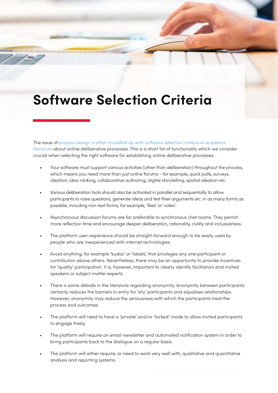### <span id="page-11-0"></span>**Software Selection Criteria**

The issue of process design is often muddled up with software selection criteria in academic [literature](https://www.bangthetable.com/blog/8-critical-features-of-online-deliberation-software/) about online deliberative processes. This is a short list of functionality which we consider crucial when selecting the right software for establishing online deliberative processes.

- Your software must support various activities (other than deliberation) throughout the process, which means you need more than just online forums - for example, quick polls, surveys, ideation, idea ranking, collaborative authoring, digital storytelling, spatial ideation etc.
- Various deliberation tools should also be activated in parallel and sequentially to allow participants to raise questions, generate ideas and test their arguments etc. in as many forms as possible; including non-text forms, for example, 'likes' or 'votes'.
- Asynchronous discussion forums are far preferable to synchronous chat rooms. They permit more reflection time and encourage deeper deliberation, rationality, civility and inclusiveness.
- The platform user-experience should be straight-forward enough to be easily used by people who are inexperienced with internet technologies.
- Avoid anything, for example 'kudos' or 'labels', that privileges any one participant or contribution above others. Nevertheless, there may be an opportunity to provide incentives for 'quality' participation. It is, however, important to clearly identify facilitators and invited speakers or subject matter experts.
- There is some debate in the literature regarding anonymity. Anonymity between participants certainly reduces the barriers to entry for 'shy' participants and equalises relationships. However, anonymity may reduce the seriousness with which the participants treat the process and outcomes.
- The platform will need to have a 'private' and/or 'locked' mode to allow invited participants to engage freely.
- The platform will require an email newsletter and automated notification system in order to bring participants back to the dialogue on a regular basis.
- The platform will either require, or need to work very well with, qualitative and quantitative analysis and reporting systems.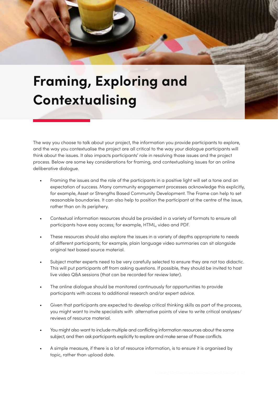<span id="page-12-0"></span>

# **Framing, Exploring and Contextualising**

The way you choose to talk about your project, the information you provide participants to explore, and the way you contextualise the project are all critical to the way your dialogue participants will think about the issues. It also impacts participants' role in resolving those issues and the project process. Below are some key considerations for framing, and contextualising issues for an online deliberative dialogue.

- Framing the issues and the role of the participants in a positive light will set a tone and an expectation of success. Many community engagement processes acknowledge this explicitly, for example, Asset or Strengths Based Community Development. The Frame can help to set reasonable boundaries. It can also help to position the participant at the centre of the issue, rather than on its periphery.
- Contextual information resources should be provided in a variety of formats to ensure all participants have easy access; for example, HTML, video and PDF.
- These resources should also explore the issues in a variety of depths appropriate to needs of different participants; for example, plain language video summaries can sit alongside original text based source material.
- Subject matter experts need to be very carefully selected to ensure they are not too didactic. This will put participants off from asking questions. If possible, they should be invited to host live video Q&A sessions (that can be recorded for review later).
- The online dialogue should be monitored continuously for opportunities to provide participants with access to additional research and/or expert advice.
- Given that participants are expected to develop critical thinking skills as part of the process, you might want to invite specialists with alternative points of view to write critical analyses/ reviews of resource material.
- You might also want to include multiple and conflicting information resources about the same subject, and then ask participants explicitly to explore and make sense of those conflicts.
- A simple measure, if there is a lot of resource information, is to ensure it is organised by topic, rather than upload date.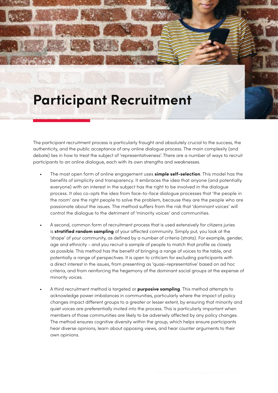### <span id="page-13-0"></span>**Participant Recruitment**

The participant recruitment process is particularly fraught and absolutely crucial to the success, the authenticity, and the public acceptance of any online dialogue process. The main complexity (and debate) lies in how to treat the subject of 'representativeness'. There are a number of ways to recruit participants to an online dialogue, each with its own strengths and weaknesses.

- The most open form of online engagement uses **simple self-selection**. This model has the benefits of simplicity and transparency. It embraces the idea that anyone (and potentially everyone) with an interest in the subject has the right to be involved in the dialogue process. It also co-opts the idea from face-to-face dialogue processes that 'the people in the room' are the right people to solve the problem, because they are the people who are passionate about the issues. The method suffers from the risk that 'dominant voices' will control the dialogue to the detriment of 'minority voices' and communities.
- A second, common form of recruitment process that is used extensively for citizens juries is **stratified random sampling** of your affected community. Simply put, you look at the 'shape' of your community, as defined by a number of criteria (strata). For example, gender, age and ethnicity - and you recruit a sample of people to match that profile as closely as possible. This method has the benefit of bringing a range of voices to the table, and potentially a range of perspectives. It is open to criticism for excluding participants with a direct interest in the issues, from presenting as 'quasi-representative' based on ad hoc criteria, and from reinforcing the hegemony of the dominant social groups at the expense of minority voices.
- A third recruitment method is targeted or **purposive sampling**. This method attempts to acknowledge power imbalances in communities, particularly where the impact of policy changes impact different groups to a greater or lesser extent, by ensuring that minority and quiet voices are preferentially invited into the process. This is particularly important when members of those communities are likely to be adversely affected by any policy changes. The method ensures cognitive diversity within the group, which helps ensure participants hear diverse opinions, learn about opposing views, and hear counter arguments to their own opinions.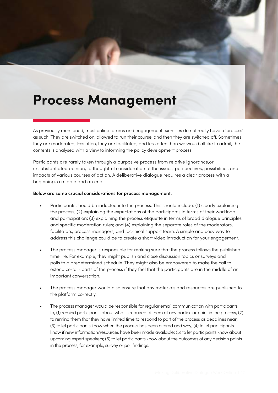### <span id="page-14-0"></span>**Process Management**

As previously mentioned, most online forums and engagement exercises do not really have a 'process' as such. They are switched on, allowed to run their course, and then they are switched off. Sometimes they are moderated, less often, they are facilitated, and less often than we would all like to admit, the contents is analysed with a view to informing the policy development process.

Participants are rarely taken through a purposive process from relative ignorance,or unsubstantiated opinion, to thoughtful consideration of the issues, perspectives, possibilities and impacts of various courses of action. A deliberative dialogue requires a clear process with a beginning, a middle and an end.

#### **Below are some crucial considerations for process management:**

- Participants should be inducted into the process. This should include: (1) clearly explaining the process; (2) explaining the expectations of the participants in terms of their workload and participation; (3) explaining the process etiquette in terms of broad dialogue principles and specific moderation rules; and (4) explaining the separate roles of the moderators, facilitators, process managers, and technical support team. A simple and easy way to address this challenge could be to create a short video introduction for your engagement.
- The process manager is responsible for making sure that the process follows the published timeline. For example, they might publish and close discussion topics or surveys and polls to a predetermined schedule. They might also be empowered to make the call to extend certain parts of the process if they feel that the participants are in the middle of an important conversation.
- The process manager would also ensure that any materials and resources are published to the platform correctly.
- The process manager would be responsible for regular email communication with participants to; (1) remind participants about what is required of them at any particular point in the process; (2) to remind them that they have limited time to respond to part of the process as deadlines near; (3) to let participants know when the process has been altered and why; (4) to let participants know if new information/resources have been made available; (5) to let participants know about upcoming expert speakers; (6) to let participants know about the outcomes of any decision points in the process, for example, survey or poll findings.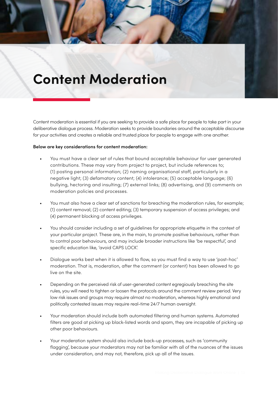### <span id="page-15-0"></span>**Content Moderation**

Content moderation is essential if you are seeking to provide a safe place for people to take part in your deliberative dialogue process. Moderation seeks to provide boundaries around the acceptable discourse for your activities and creates a reliable and trusted place for people to engage with one another.

#### **Below are key considerations for content moderation:**

- You must have a clear set of rules that bound acceptable behaviour for user generated contributions. These may vary from project to project, but include references to; (1) posting personal information; (2) naming organisational staff, particularly in a negative light; (3) defamatory content; (4) intolerance; (5) acceptable language; (6) bullying, hectoring and insulting; (7) external links; (8) advertising, and (9) comments on moderation policies and processes.
- You must also have a clear set of sanctions for breaching the moderation rules, for example; (1) content removal; (2) content editing; (3) temporary suspension of access privileges; and (4) permanent blocking of access privileges.
- You should consider including a set of guidelines for appropriate etiquette in the context of your particular project. These are, in the main, to promote positive behaviours, rather than to control poor behaviours, and may include broader instructions like 'be respectful', and specific education like, 'avoid CAPS LOCK'.
- Dialogue works best when it is allowed to flow, so you must find a way to use 'post-hoc' moderation. That is, moderation, after the comment (or content) has been allowed to go live on the site.
- Depending on the perceived risk of user-generated content egregiously breaching the site rules, you will need to tighten or loosen the protocols around the comment review period. Very low risk issues and groups may require almost no moderation, whereas highly emotional and politically contested issues may require real-time 24/7 human oversight.
- Your moderation should include both automated filtering and human systems. Automated filters are good at picking up black-listed words and spam, they are incapable of picking up other poor behaviours.
- Your moderation system should also include back-up processes, such as 'community flagging', because your moderators may not be familiar with all of the nuances of the issues under consideration, and may not, therefore, pick up all of the issues.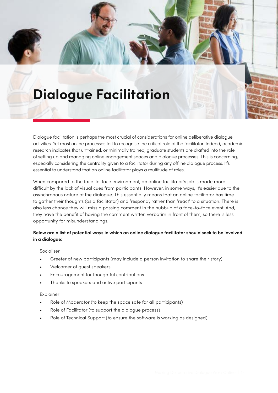<span id="page-16-0"></span>

Dialogue facilitation is perhaps the most crucial of considerations for online deliberative dialogue activities. Yet most online processes fail to recognise the critical role of the facilitator. Indeed, academic research indicates that untrained, or minimally trained, graduate students are drafted into the role of setting up and managing online engagement spaces and dialogue processes. This is concerning, especially considering the centrality given to a facilitator during any offline dialogue process. It's essential to understand that an online facilitator plays a multitude of roles.

When compared to the face-to-face environment, an online facilitator's job is made more difficult by the lack of visual cues from participants. However, in some ways, it's easier due to the asynchronous nature of the dialogue. This essentially means that an online facilitator has time to gather their thoughts (as a facilitator) and 'respond', rather than 'react' to a situation. There is also less chance they will miss a passing comment in the hubbub of a face-to-face event. And, they have the benefit of having the comment written verbatim in front of them, so there is less opportunity for misunderstandings.

### **Below are a list of potential ways in which an online dialogue facilitator should seek to be involved in a dialogue:**

### Socialiser

- Greeter of new participants (may include a person invitation to share their story)
- Welcomer of guest speakers
- Encouragement for thoughtful contributions
- Thanks to speakers and active participants

### Explainer

- Role of Moderator (to keep the space safe for all participants)
- Role of Facilitator (to support the dialogue process)
- Role of Technical Support (to ensure the software is working as designed)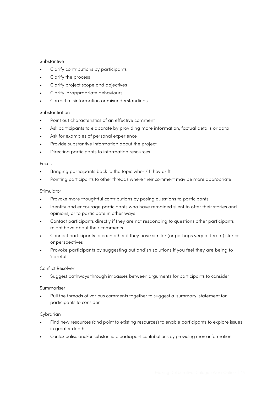### **Substantive**

- Clarify contributions by participants
- Clarify the process
- Clarify project scope and objectives
- Clarify in/appropriate behaviours
- Correct misinformation or misunderstandings

### Substantiation

- Point out characteristics of an effective comment
- Ask participants to elaborate by providing more information, factual details or data
- Ask for examples of personal experience
- Provide substantive information about the project
- Directing participants to information resources

#### Focus

- Bringing participants back to the topic when/if they drift
- Pointing participants to other threads where their comment may be more appropriate

### Stimulator

- Provoke more thoughtful contributions by posing questions to participants
- Identify and encourage participants who have remained silent to offer their stories and opinions, or to participate in other ways
- Contact participants directly if they are not responding to questions other participants might have about their comments
- Connect participants to each other if they have similar (or perhaps very different) stories or perspectives
- Provoke participants by suggesting outlandish solutions if you feel they are being to 'careful'

### Conflict Resolver

• Suggest pathways through impasses between arguments for participants to consider

#### Summariser

• Pull the threads of various comments together to suggest a 'summary' statement for participants to consider

### Cybrarian

- Find new resources (and point to existing resources) to enable participants to explore issues in greater depth
- Contextualise and/or substantiate participant contributions by providing more information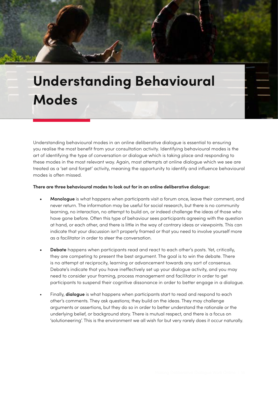# <span id="page-18-0"></span>**Understanding Behavioural Modes**

Understanding behavioural modes in an online deliberative dialogue is essential to ensuring you realise the most benefit from your consultation activity. Identifying behavioural modes is the art of identifying the type of conversation or dialogue which is taking place and responding to these modes in the most relevant way. Again, most attempts at online dialogue which we see are treated as a 'set and forget' activity, meaning the opportunity to identify and influence behavioural modes is often missed.

#### **There are three behavioural modes to look out for in an online deliberative dialogue:**

- **• Monologue** is what happens when participants visit a forum once, leave their comment, and never return. The information may be useful for social research, but there is no community learning, no interaction, no attempt to build on, or indeed challenge the ideas of those who have gone before. Often this type of behaviour sees participants agreeing with the question at hand, or each other, and there is little in the way of contrary ideas or viewpoints. This can indicate that your discussion isn't properly framed or that you need to involve yourself more as a facilitator in order to steer the conversation.
- **• Debate** happens when participants read and react to each other's posts. Yet, critically, they are competing to present the best argument. The goal is to win the debate. There is no attempt at reciprocity, learning or advancement towards any sort of consensus. Debate's indicate that you have ineffectively set up your dialogue activity, and you may need to consider your framing, process management and facilitator in order to get participants to suspend their cognitive dissonance in order to better engage in a dialogue.
- Finally, **dialogue** is what happens when participants start to read and respond to each other's comments. They ask questions; they build on the ideas. They may challenge arguments or assertions, but they do so in order to better understand the rationale or the underlying belief, or background story. There is mutual respect, and there is a focus on 'solutioneering'. This is the environment we all wish for but very rarely does it occur naturally.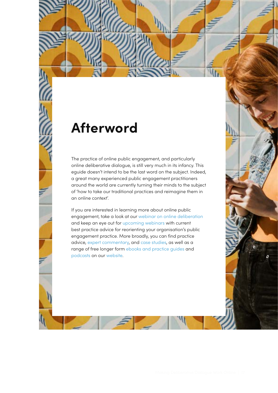### <span id="page-19-0"></span>**Afterword**

The practice of online public engagement, and particularly online deliberative dialogue, is still very much in its infancy. This eguide doesn't intend to be the last word on the subject. Indeed, a great many experienced public engagement practitioners around the world are currently turning their minds to the subject of 'how to take our traditional practices and reimagine them in an online context'.

If you are interested in learning more about online public engagement, take a look at our [webinar on online deliberation](https://www.bangthetable.com/resources/engagement-webinars/online-digital-deliberation/) and keep an eye out for [upcoming webinars](https://www.bangthetable.com/resources/engagement-webinars/) with current best practice advice for reorienting your organisation's public engagement practice. More broadly, you can find practice advice, [expert commentary,](https://www.bangthetable.com/category/expert-commentary/) and [case studies](https://www.bangthetable.com/category/case-studies/), as well as a range of free longer form [ebooks and practice guides](https://www.bangthetable.com/category/ebooks-and-guides/) and [podcasts](https://www.bangthetable.com/resources/engagement-podcasts/) on our [website](https://www.bangthetable.com).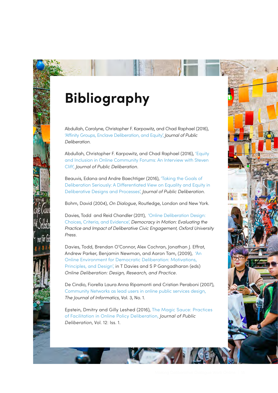# <span id="page-20-0"></span>**Bibliography**

Abdullah, Carolyne, Christopher F. Karpowitz, and Chad Raphael (2016), ['Affinity Groups, Enclave Deliberation, and Equity',](https://delibdemjournal.org/articles/abstract/258/) *Journal of Public Deliberation*.

Abdullah, Christopher F. Karpowitz, and Chad Raphael (2016), ['Equity](https://delibdemjournal.org/articles/abstract/10.16997/jdd.263/)  [and Inclusion in Online Community Forums: An Interview with Steven](https://delibdemjournal.org/articles/abstract/10.16997/jdd.263/)  [Clift',](https://delibdemjournal.org/articles/abstract/10.16997/jdd.263/) *Journal of Public Deliberation*.

Beauvis, Edana and Andre Baechtiger (2016), ['Taking the Goals of](https://delibdemjournal.org/articles/abstract/10.16997/jdd.254/)  [Deliberation Seriously: A Differentiated View on Equality and Equity in](https://delibdemjournal.org/articles/abstract/10.16997/jdd.254/)  [Deliberative Designs and Processes',](https://delibdemjournal.org/articles/abstract/10.16997/jdd.254/) *Journal of Public Deliberation*.

Bohm, David (2004), *On Dialogue*, Routledge, London and New York.

Davies, Todd and Reid Chandler (2011), ['Online Deliberation Design:](https://arxiv.org/ftp/arxiv/papers/1302/1302.5177.pdf)  [Choices, Criteria, and Evidence',](https://arxiv.org/ftp/arxiv/papers/1302/1302.5177.pdf) *Democracy in Motion: Evaluating the Practice and Impact of Deliberative Civic Engagement, Oxford University Press*.

Davies, Todd, Brendan O'Connor, Alex Cochran, Jonathan J. Effrat, Andrew Parker, Benjamin Newman, and Aaron Tam, (2009), ['An](http://odbook.stanford.edu/static/filedocument/2009/11/10/ODBook.Full.11.3.09.pdf)  [Online Environment for Democratic Deliberation: Motivations,](http://odbook.stanford.edu/static/filedocument/2009/11/10/ODBook.Full.11.3.09.pdf)  [Principles, and Design',](http://odbook.stanford.edu/static/filedocument/2009/11/10/ODBook.Full.11.3.09.pdf) in T Davies and S P Gangadharan (eds) *Online Deliberation: Design, Research, and Practice*.

De Cindio, Fiorella Laura Anna Ripamonti and Cristian Peraboni (2007), [Community Networks as lead users in online public services design,](http://ci-journal.net/index.php/ciej/article/view/318/306) *The Journal of Informatics*, Vol. 3, No. 1.

Epstein, Dmitry and Gilly Leshed (2016), [The Magic Sauce: Practices](https://sites.coecis.cornell.edu/leshed/files/2016/06/JPD_Facilitation_2016-1dzvzhy.pdf)  [of Facilitation in Online Policy Deliberation,](https://sites.coecis.cornell.edu/leshed/files/2016/06/JPD_Facilitation_2016-1dzvzhy.pdf) *Journal of Public Deliberation*, Vol. 12: Iss. 1.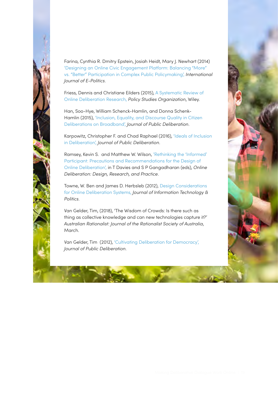

Farina, Cynthia R. Dmitry Epstein, Josiah Heidt, Mary J. Newhart (2014) ['Designing an Online Civic Engagement Platform: Balancing "More"](http://scholarship.law.cornell.edu/cgi/viewcontent.cgi?article=2524&context=facpub)  [vs. "Better" Participation in Complex Public Policymaking',](http://scholarship.law.cornell.edu/cgi/viewcontent.cgi?article=2524&context=facpub) *International Journal of E-Politics*.

Friess, Dennis and Christiane Eilders (2015), [A Systematic Review of](http://www.fortschrittskolleg.de/wp-content/cache/mendeley-file-cache/d3552474-a8b1-30c4-ad90-b0a8e964204e.pdf)  [Online Deliberation Research,](http://www.fortschrittskolleg.de/wp-content/cache/mendeley-file-cache/d3552474-a8b1-30c4-ad90-b0a8e964204e.pdf) *Policy Studies Organization*, Wiley.

Han, Soo-Hye, William Schenck-Hamlin, and Donna Schenk-Hamlin (2015), ['Inclusion, Equality, and Discourse Quality in Citizen](https://delibdemjournal.org/articles/abstract/10.16997/jdd.220/)  [Deliberations on Broadband',](https://delibdemjournal.org/articles/abstract/10.16997/jdd.220/) *Journal of Public Deliberation*.

Karpowitz, Christopher F. and Chad Raphael (2016), ['Ideals of Inclusion](https://delibdemjournal.org/articles/abstract/10.16997/jdd.255/)  [in Deliberation',](https://delibdemjournal.org/articles/abstract/10.16997/jdd.255/) *Journal of Public Deliberation*.

Ramsey, Kevin S. and Matthew W. Wilson, ['Rethinking the 'Informed'](http://odbook.stanford.edu/static/filedocument/2009/11/10/ODBook.Full.11.3.09.pdf)  [Participant: Precautions and Recommendations for the Design of](http://odbook.stanford.edu/static/filedocument/2009/11/10/ODBook.Full.11.3.09.pdf)  [Online Deliberation',](http://odbook.stanford.edu/static/filedocument/2009/11/10/ODBook.Full.11.3.09.pdf) in T Davies and S P Gangadharan (eds), *Online Deliberation: Design, Research, and Practice*.

Towne, W. Ben and James D. Herbsleb (2012), [Design Considerations](http://herbsleb.org/web-pubs/pdfs/Towne-design-2012.pdf)  [for Online Deliberation Systems,](http://herbsleb.org/web-pubs/pdfs/Towne-design-2012.pdf) *Journal of Information Technology & Politics*.

Van Gelder, Tim, (2018), 'The Wisdom of Crowds: Is there such as thing as collective knowledge and can new technologies capture it?' *Australian Rationalist: Journal of the Rationalist Society of Australia*, March.

Van Gelder, Tim (2012), ['Cultivating Deliberation for Democracy',](https://delibdemjournal.org/articles/abstract/10.16997/jdd.134/) *Journal of Public Deliberation*.